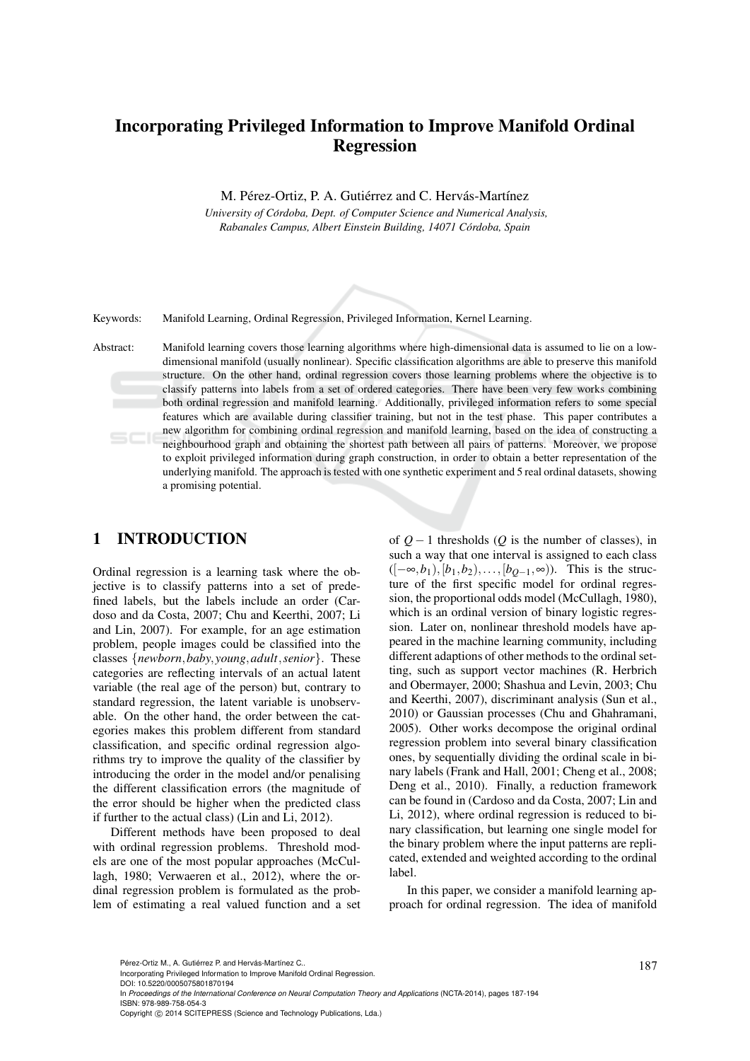# Incorporating Privileged Information to Improve Manifold Ordinal Regression

M. Pérez-Ortiz, P. A. Gutiérrez and C. Hervás-Martínez

*University of Cordoba, Dept. of Computer Science and Numerical Analysis, ´ Rabanales Campus, Albert Einstein Building, 14071 Cordoba, Spain ´*

Keywords: Manifold Learning, Ordinal Regression, Privileged Information, Kernel Learning.

Abstract: Manifold learning covers those learning algorithms where high-dimensional data is assumed to lie on a lowdimensional manifold (usually nonlinear). Specific classification algorithms are able to preserve this manifold structure. On the other hand, ordinal regression covers those learning problems where the objective is to classify patterns into labels from a set of ordered categories. There have been very few works combining both ordinal regression and manifold learning. Additionally, privileged information refers to some special features which are available during classifier training, but not in the test phase. This paper contributes a new algorithm for combining ordinal regression and manifold learning, based on the idea of constructing a neighbourhood graph and obtaining the shortest path between all pairs of patterns. Moreover, we propose to exploit privileged information during graph construction, in order to obtain a better representation of the underlying manifold. The approach is tested with one synthetic experiment and 5 real ordinal datasets, showing a promising potential.

### 1 INTRODUCTION

Ordinal regression is a learning task where the objective is to classify patterns into a set of predefined labels, but the labels include an order (Cardoso and da Costa, 2007; Chu and Keerthi, 2007; Li and Lin, 2007). For example, for an age estimation problem, people images could be classified into the classes {*newborn*,*baby*, *young*,*adult*,*senior*}. These categories are reflecting intervals of an actual latent variable (the real age of the person) but, contrary to standard regression, the latent variable is unobservable. On the other hand, the order between the categories makes this problem different from standard classification, and specific ordinal regression algorithms try to improve the quality of the classifier by introducing the order in the model and/or penalising the different classification errors (the magnitude of the error should be higher when the predicted class if further to the actual class) (Lin and Li, 2012).

Different methods have been proposed to deal with ordinal regression problems. Threshold models are one of the most popular approaches (McCullagh, 1980; Verwaeren et al., 2012), where the ordinal regression problem is formulated as the problem of estimating a real valued function and a set of  $Q$  − 1 thresholds ( $Q$  is the number of classes), in such a way that one interval is assigned to each class ([−∞,*b*1),[*b*1,*b*2),...,[*bQ*−1,∞)). This is the structure of the first specific model for ordinal regression, the proportional odds model (McCullagh, 1980), which is an ordinal version of binary logistic regression. Later on, nonlinear threshold models have appeared in the machine learning community, including different adaptions of other methods to the ordinal setting, such as support vector machines (R. Herbrich and Obermayer, 2000; Shashua and Levin, 2003; Chu and Keerthi, 2007), discriminant analysis (Sun et al., 2010) or Gaussian processes (Chu and Ghahramani, 2005). Other works decompose the original ordinal regression problem into several binary classification ones, by sequentially dividing the ordinal scale in binary labels (Frank and Hall, 2001; Cheng et al., 2008; Deng et al., 2010). Finally, a reduction framework can be found in (Cardoso and da Costa, 2007; Lin and Li, 2012), where ordinal regression is reduced to binary classification, but learning one single model for the binary problem where the input patterns are replicated, extended and weighted according to the ordinal label.

In this paper, we consider a manifold learning approach for ordinal regression. The idea of manifold

DOI: 10.5220/0005075801870194

In *Proceedings of the International Conference on Neural Computation Theory and Applications* (NCTA-2014), pages 187-194 ISBN: 978-989-758-054-3

Pérez-Ortiz M., A. Gutiérrez P. and Hervás-Martínez C..<br>Incorporating Privileged Information to Improve Manifold Ordinal Regression.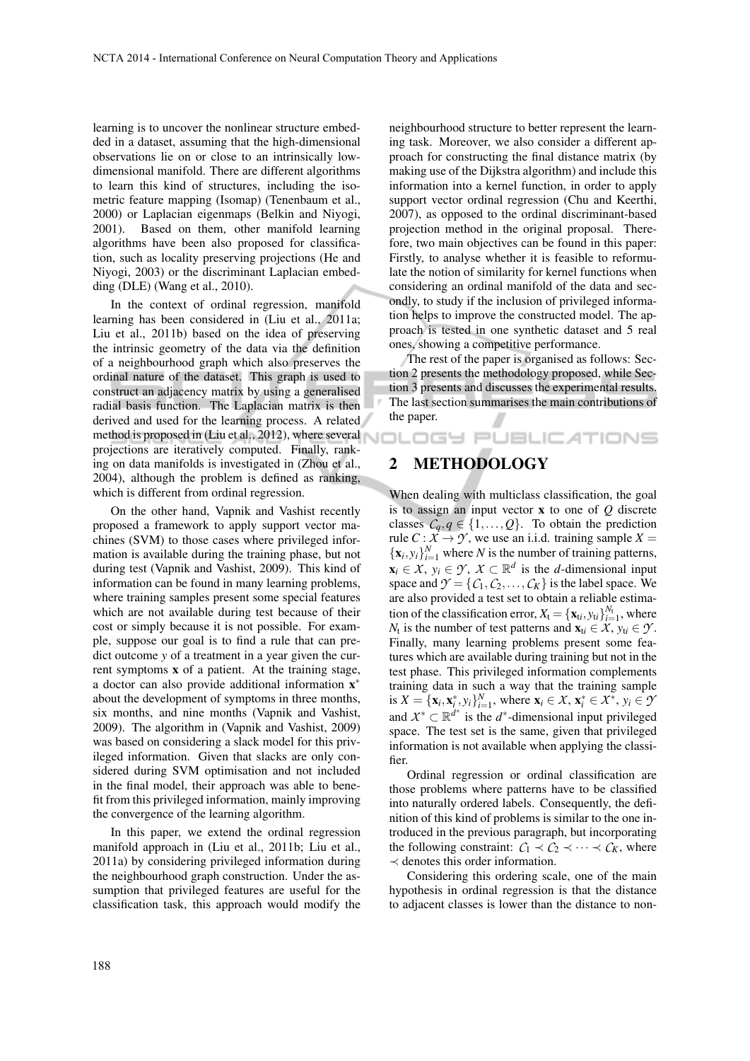learning is to uncover the nonlinear structure embedded in a dataset, assuming that the high-dimensional observations lie on or close to an intrinsically lowdimensional manifold. There are different algorithms to learn this kind of structures, including the isometric feature mapping (Isomap) (Tenenbaum et al., 2000) or Laplacian eigenmaps (Belkin and Niyogi, 2001). Based on them, other manifold learning algorithms have been also proposed for classification, such as locality preserving projections (He and Niyogi, 2003) or the discriminant Laplacian embedding (DLE) (Wang et al., 2010).

In the context of ordinal regression, manifold learning has been considered in (Liu et al., 2011a; Liu et al., 2011b) based on the idea of preserving the intrinsic geometry of the data via the definition of a neighbourhood graph which also preserves the ordinal nature of the dataset. This graph is used to construct an adjacency matrix by using a generalised radial basis function. The Laplacian matrix is then derived and used for the learning process. A related method is proposed in (Liu et al., 2012), where several  $\bigwedge \Box \sqsubset \Box \boxdot \sqcup \Box$   $\Box \sqcup \Box \sqcup \Box \sqcap \Box \sqcap \Box \sqcap \Box$ projections are iteratively computed. Finally, ranking on data manifolds is investigated in (Zhou et al., 2004), although the problem is defined as ranking, which is different from ordinal regression.

On the other hand, Vapnik and Vashist recently proposed a framework to apply support vector machines (SVM) to those cases where privileged information is available during the training phase, but not during test (Vapnik and Vashist, 2009). This kind of information can be found in many learning problems, where training samples present some special features which are not available during test because of their cost or simply because it is not possible. For example, suppose our goal is to find a rule that can predict outcome *y* of a treatment in a year given the current symptoms x of a patient. At the training stage, a doctor can also provide additional information x<sup>\*</sup> about the development of symptoms in three months, six months, and nine months (Vapnik and Vashist, 2009). The algorithm in (Vapnik and Vashist, 2009) was based on considering a slack model for this privileged information. Given that slacks are only considered during SVM optimisation and not included in the final model, their approach was able to benefit from this privileged information, mainly improving the convergence of the learning algorithm.

In this paper, we extend the ordinal regression manifold approach in (Liu et al., 2011b; Liu et al., 2011a) by considering privileged information during the neighbourhood graph construction. Under the assumption that privileged features are useful for the classification task, this approach would modify the neighbourhood structure to better represent the learning task. Moreover, we also consider a different approach for constructing the final distance matrix (by making use of the Dijkstra algorithm) and include this information into a kernel function, in order to apply support vector ordinal regression (Chu and Keerthi, 2007), as opposed to the ordinal discriminant-based projection method in the original proposal. Therefore, two main objectives can be found in this paper: Firstly, to analyse whether it is feasible to reformulate the notion of similarity for kernel functions when considering an ordinal manifold of the data and secondly, to study if the inclusion of privileged information helps to improve the constructed model. The approach is tested in one synthetic dataset and 5 real ones, showing a competitive performance.

The rest of the paper is organised as follows: Section 2 presents the methodology proposed, while Section 3 presents and discusses the experimental results. The last section summarises the main contributions of the paper.

## 2 METHODOLOGY

When dealing with multiclass classification, the goal is to assign an input vector x to one of *Q* discrete classes  $C_q, q \in \{1, \ldots, Q\}$ . To obtain the prediction rule *C* :  $\overline{X} \rightarrow \overline{Y}$ , we use an i.i.d. training sample  $X =$  ${x_i, y_i}_{i=1}^N$  where *N* is the number of training patterns,  $\mathbf{x}_i \in \mathcal{X}, \ y_i \in \mathcal{Y}, \ \mathcal{X} \subset \mathbb{R}^d$  is the *d*-dimensional input space and  $\mathcal{Y} = \{C_1, C_2, \dots, C_K\}$  is the label space. We are also provided a test set to obtain a reliable estimation of the classification error,  $X_t = {\mathbf{x}_t, y_t}\}_{t=1}^{N_t}$ , where *N*<sub>t</sub> is the number of test patterns and  $\mathbf{x}_{ti} \in \mathcal{X}, y_{ti} \in \mathcal{Y}$ . Finally, many learning problems present some features which are available during training but not in the test phase. This privileged information complements training data in such a way that the training sample is  $X = {\mathbf{x}_i, \mathbf{x}_i^*, y_i}_{i=1}^N$ , where  $\mathbf{x}_i \in \mathcal{X}, \mathbf{x}_i^* \in \mathcal{X}^*, y_i \in \mathcal{Y}$ and  $X^* \subset \mathbb{R}^{d^*}$  is the  $d^*$ -dimensional input privileged space. The test set is the same, given that privileged information is not available when applying the classifier.

Ordinal regression or ordinal classification are those problems where patterns have to be classified into naturally ordered labels. Consequently, the definition of this kind of problems is similar to the one introduced in the previous paragraph, but incorporating the following constraint:  $C_1 \prec C_2 \prec \cdots \prec C_K$ , where ≺ denotes this order information.

Considering this ordering scale, one of the main hypothesis in ordinal regression is that the distance to adjacent classes is lower than the distance to non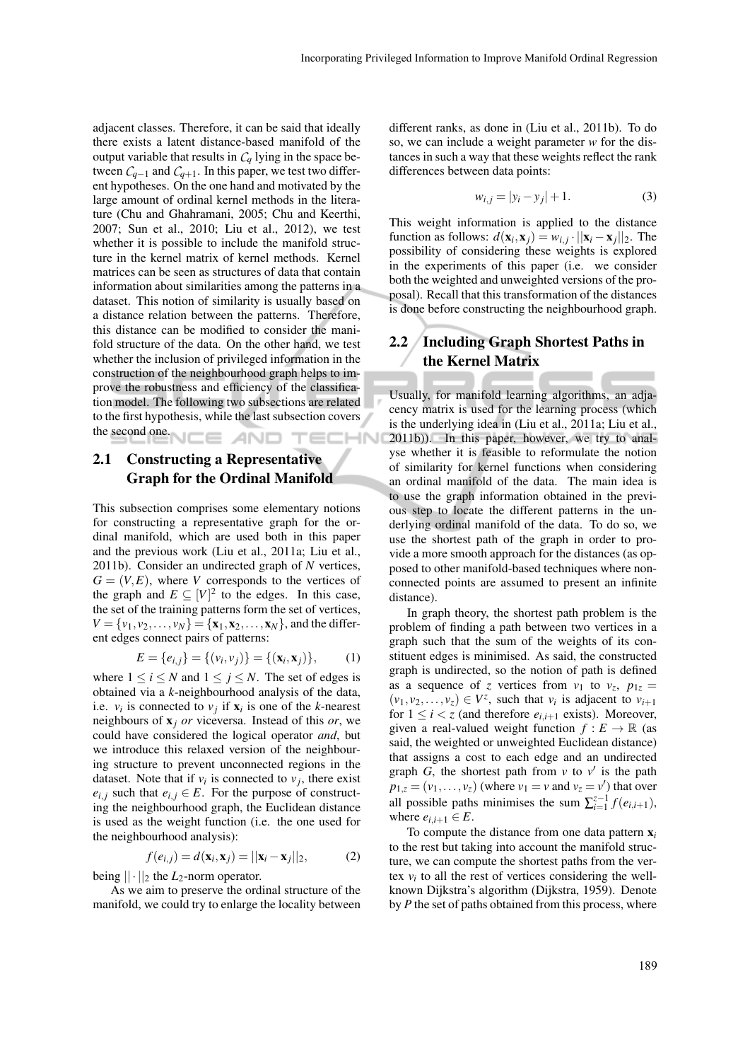adjacent classes. Therefore, it can be said that ideally there exists a latent distance-based manifold of the output variable that results in  $C_q$  lying in the space between  $C_{q-1}$  and  $C_{q+1}$ . In this paper, we test two different hypotheses. On the one hand and motivated by the large amount of ordinal kernel methods in the literature (Chu and Ghahramani, 2005; Chu and Keerthi, 2007; Sun et al., 2010; Liu et al., 2012), we test whether it is possible to include the manifold structure in the kernel matrix of kernel methods. Kernel matrices can be seen as structures of data that contain information about similarities among the patterns in a dataset. This notion of similarity is usually based on a distance relation between the patterns. Therefore, this distance can be modified to consider the manifold structure of the data. On the other hand, we test whether the inclusion of privileged information in the construction of the neighbourhood graph helps to improve the robustness and efficiency of the classification model. The following two subsections are related to the first hypothesis, while the last subsection covers the second one. IE AND :HN

### 2.1 Constructing a Representative Graph for the Ordinal Manifold

This subsection comprises some elementary notions for constructing a representative graph for the ordinal manifold, which are used both in this paper and the previous work (Liu et al., 2011a; Liu et al., 2011b). Consider an undirected graph of *N* vertices,  $G = (V, E)$ , where *V* corresponds to the vertices of the graph and  $E \subseteq [V]^2$  to the edges. In this case, the set of the training patterns form the set of vertices,  $V = \{v_1, v_2, \ldots, v_N\} = \{\mathbf{x}_1, \mathbf{x}_2, \ldots, \mathbf{x}_N\}$ , and the different edges connect pairs of patterns:

$$
E = \{e_{i,j}\} = \{ (v_i, v_j) \} = \{ (\mathbf{x}_i, \mathbf{x}_j) \}, \quad (1)
$$

where  $1 \le i \le N$  and  $1 \le j \le N$ . The set of edges is obtained via a *k*-neighbourhood analysis of the data, i.e.  $v_i$  is connected to  $v_j$  if  $\mathbf{x}_i$  is one of the *k*-nearest neighbours of x*<sup>j</sup> or* viceversa. Instead of this *or*, we could have considered the logical operator *and*, but we introduce this relaxed version of the neighbouring structure to prevent unconnected regions in the dataset. Note that if  $v_i$  is connected to  $v_j$ , there exist  $e_{i,j}$  such that  $e_{i,j} \in E$ . For the purpose of constructing the neighbourhood graph, the Euclidean distance is used as the weight function (i.e. the one used for the neighbourhood analysis):

$$
f(e_{i,j}) = d(\mathbf{x}_i, \mathbf{x}_j) = ||\mathbf{x}_i - \mathbf{x}_j||_2,
$$
 (2)

being  $|| \cdot ||_2$  the *L*<sub>2</sub>-norm operator.

As we aim to preserve the ordinal structure of the manifold, we could try to enlarge the locality between different ranks, as done in (Liu et al., 2011b). To do so, we can include a weight parameter *w* for the distances in such a way that these weights reflect the rank differences between data points:

$$
w_{i,j} = |y_i - y_j| + 1.
$$
 (3)

This weight information is applied to the distance function as follows:  $d(\mathbf{x}_i, \mathbf{x}_j) = w_{i,j} \cdot ||\mathbf{x}_i - \mathbf{x}_j||_2$ . The possibility of considering these weights is explored in the experiments of this paper (i.e. we consider both the weighted and unweighted versions of the proposal). Recall that this transformation of the distances is done before constructing the neighbourhood graph.

## 2.2 Including Graph Shortest Paths in the Kernel Matrix

Usually, for manifold learning algorithms, an adjacency matrix is used for the learning process (which is the underlying idea in (Liu et al., 2011a; Liu et al., 2011b)). In this paper, however, we try to analyse whether it is feasible to reformulate the notion of similarity for kernel functions when considering an ordinal manifold of the data. The main idea is to use the graph information obtained in the previous step to locate the different patterns in the underlying ordinal manifold of the data. To do so, we use the shortest path of the graph in order to provide a more smooth approach for the distances (as opposed to other manifold-based techniques where nonconnected points are assumed to present an infinite distance).

In graph theory, the shortest path problem is the problem of finding a path between two vertices in a graph such that the sum of the weights of its constituent edges is minimised. As said, the constructed graph is undirected, so the notion of path is defined as a sequence of *z* vertices from  $v_1$  to  $v_z$ ,  $p_{1z} =$  $(v_1, v_2, \ldots, v_z) \in V^z$ , such that  $v_i$  is adjacent to  $v_{i+1}$ for  $1 \leq i < z$  (and therefore  $e_{i,i+1}$  exists). Moreover, given a real-valued weight function  $f : E \to \mathbb{R}$  (as said, the weighted or unweighted Euclidean distance) that assigns a cost to each edge and an undirected graph  $G$ , the shortest path from  $v$  to  $v'$  is the path  $p_{1,z} = (v_1, \ldots, v_z)$  (where  $v_1 = v$  and  $v_z = v'$ ) that over all possible paths minimises the sum  $\sum_{i=1}^{z-1} f(e_{i,i+1})$ , where  $e_{i,i+1} \in E$ .

To compute the distance from one data pattern  $x_i$ to the rest but taking into account the manifold structure, we can compute the shortest paths from the vertex  $v_i$  to all the rest of vertices considering the wellknown Dijkstra's algorithm (Dijkstra, 1959). Denote by *P* the set of paths obtained from this process, where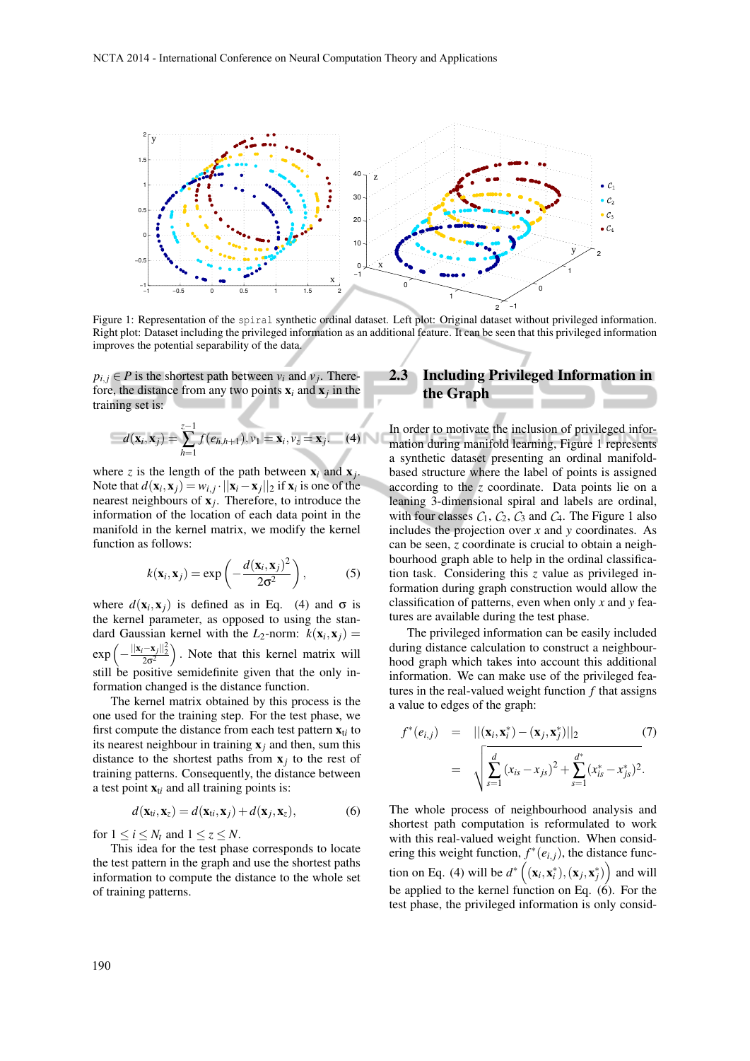

Figure 1: Representation of the spiral synthetic ordinal dataset. Left plot: Original dataset without privileged information. Right plot: Dataset including the privileged information as an additional feature. It can be seen that this privileged information improves the potential separability of the data.

 $p_{i,j} \in P$  is the shortest path between  $v_i$  and  $v_j$ . Therefore, the distance from any two points  $x_i$  and  $x_j$  in the training set is:

$$
d(\mathbf{x}_i, \mathbf{x}_j) = \sum_{h=1}^{z-1} f(e_{h,h+1}), v_1 = \mathbf{x}_i, v_z = \mathbf{x}_j.
$$
 (4)

where *z* is the length of the path between  $x_i$  and  $x_j$ . Note that  $d(\mathbf{x}_i, \mathbf{x}_j) = w_{i,j} \cdot ||\mathbf{x}_i - \mathbf{x}_j||_2$  if  $\mathbf{x}_i$  is one of the nearest neighbours of x*<sup>j</sup>* . Therefore, to introduce the information of the location of each data point in the manifold in the kernel matrix, we modify the kernel function as follows:

$$
k(\mathbf{x}_i, \mathbf{x}_j) = \exp\left(-\frac{d(\mathbf{x}_i, \mathbf{x}_j)^2}{2\sigma^2}\right),\tag{5}
$$

where  $d(\mathbf{x}_i, \mathbf{x}_j)$  is defined as in Eq. (4) and  $\sigma$  is the kernel parameter, as opposed to using the standard Gaussian kernel with the  $L_2$ -norm:  $k(\mathbf{x}_i, \mathbf{x}_j) =$ exp −  $\frac{||\mathbf{x}_i-\mathbf{x}_j||_2^2}{2\sigma^2}$  . Note that this kernel matrix will still be positive semidefinite given that the only information changed is the distance function.

The kernel matrix obtained by this process is the one used for the training step. For the test phase, we first compute the distance from each test pattern  $\mathbf{x}_{ti}$  to its nearest neighbour in training  $x_j$  and then, sum this distance to the shortest paths from  $x_j$  to the rest of training patterns. Consequently, the distance between a test point  $\mathbf{x}_{ti}$  and all training points is:

$$
d(\mathbf{x}_{ti}, \mathbf{x}_z) = d(\mathbf{x}_{ti}, \mathbf{x}_j) + d(\mathbf{x}_j, \mathbf{x}_z),
$$
(6)

for  $1 \le i \le N_t$  and  $1 \le z \le N$ .

This idea for the test phase corresponds to locate the test pattern in the graph and use the shortest paths information to compute the distance to the whole set of training patterns.

#### 2.3 Including Privileged Information in the Graph

In order to motivate the inclusion of privileged information during manifold learning, Figure 1 represents a synthetic dataset presenting an ordinal manifoldbased structure where the label of points is assigned according to the *z* coordinate. Data points lie on a leaning 3-dimensional spiral and labels are ordinal, with four classes  $C_1$ ,  $C_2$ ,  $C_3$  and  $C_4$ . The Figure 1 also includes the projection over *x* and *y* coordinates. As can be seen, *z* coordinate is crucial to obtain a neighbourhood graph able to help in the ordinal classification task. Considering this *z* value as privileged information during graph construction would allow the classification of patterns, even when only *x* and *y* features are available during the test phase.

The privileged information can be easily included during distance calculation to construct a neighbourhood graph which takes into account this additional information. We can make use of the privileged features in the real-valued weight function *f* that assigns a value to edges of the graph:

$$
f^*(e_{i,j}) = ||(\mathbf{x}_i, \mathbf{x}_i^*) - (\mathbf{x}_j, \mathbf{x}_j^*)||_2
$$
(7)  

$$
= \sqrt{\sum_{s=1}^d (x_{is} - x_{js})^2 + \sum_{s=1}^{d^*} (x_{is}^* - x_{js}^*)^2}.
$$

The whole process of neighbourhood analysis and shortest path computation is reformulated to work with this real-valued weight function. When considering this weight function,  $f^*(e_{i,j})$ , the distance function on Eq. (4) will be  $d^*((\mathbf{x}_i, \mathbf{x}_i^*), (\mathbf{x}_j, \mathbf{x}_j^*))$  and will be applied to the kernel function on Eq.  $(6)$ . For the test phase, the privileged information is only consid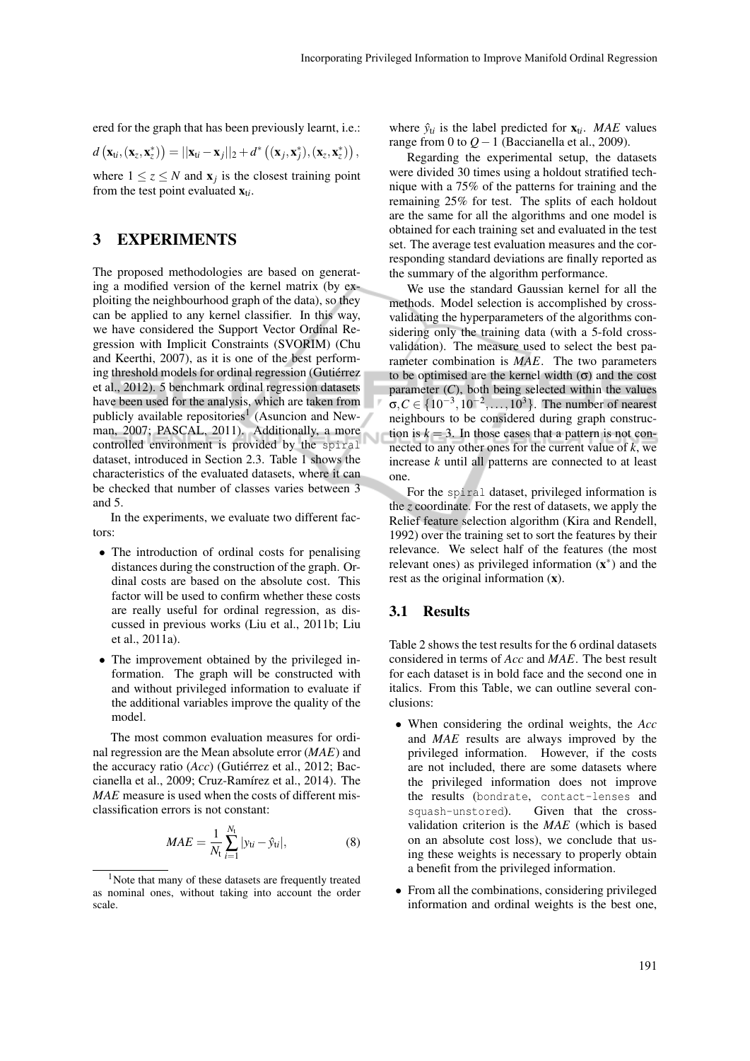ered for the graph that has been previously learnt, i.e.:

$$
d\left(\mathbf{x}_{ti},\left(\mathbf{x}_{z},\mathbf{x}_{z}^{*}\right)\right)=||\mathbf{x}_{ti}-\mathbf{x}_{j}||_{2}+d^{*}\left(\left(\mathbf{x}_{j},\mathbf{x}_{j}^{*}\right),\left(\mathbf{x}_{z},\mathbf{x}_{z}^{*}\right)\right),
$$

where  $1 \le z \le N$  and  $x_j$  is the closest training point from the test point evaluated  $\mathbf{x}_{ti}$ .

#### 3 EXPERIMENTS

The proposed methodologies are based on generating a modified version of the kernel matrix (by exploiting the neighbourhood graph of the data), so they can be applied to any kernel classifier. In this way, we have considered the Support Vector Ordinal Regression with Implicit Constraints (SVORIM) (Chu and Keerthi, 2007), as it is one of the best performing threshold models for ordinal regression (Gutiérrez et al., 2012). 5 benchmark ordinal regression datasets have been used for the analysis, which are taken from publicly available repositories<sup>1</sup> (Asuncion and Newman, 2007; PASCAL, 2011). Additionally, a more controlled environment is provided by the spiral dataset, introduced in Section 2.3. Table 1 shows the characteristics of the evaluated datasets, where it can be checked that number of classes varies between 3 and 5.

In the experiments, we evaluate two different factors:

- The introduction of ordinal costs for penalising distances during the construction of the graph. Ordinal costs are based on the absolute cost. This factor will be used to confirm whether these costs are really useful for ordinal regression, as discussed in previous works (Liu et al., 2011b; Liu et al., 2011a).
- The improvement obtained by the privileged information. The graph will be constructed with and without privileged information to evaluate if the additional variables improve the quality of the model.

The most common evaluation measures for ordinal regression are the Mean absolute error (*MAE*) and the accuracy ratio (*Acc*) (Gutiérrez et al., 2012; Baccianella et al., 2009; Cruz-Ramírez et al., 2014). The *MAE* measure is used when the costs of different misclassification errors is not constant:

$$
MAE = \frac{1}{N_{\rm t}} \sum_{i=1}^{N_{\rm t}} |y_{\rm ti} - \hat{y}_{\rm ti}|,\tag{8}
$$

where  $\hat{y}_{ti}$  is the label predicted for  $\mathbf{x}_{ti}$ . *MAE* values range from 0 to *Q*−1 (Baccianella et al., 2009).

Regarding the experimental setup, the datasets were divided 30 times using a holdout stratified technique with a 75% of the patterns for training and the remaining 25% for test. The splits of each holdout are the same for all the algorithms and one model is obtained for each training set and evaluated in the test set. The average test evaluation measures and the corresponding standard deviations are finally reported as the summary of the algorithm performance.

We use the standard Gaussian kernel for all the methods. Model selection is accomplished by crossvalidating the hyperparameters of the algorithms considering only the training data (with a 5-fold crossvalidation). The measure used to select the best parameter combination is *MAE*. The two parameters to be optimised are the kernel width (σ) and the cost parameter  $(C)$ , both being selected within the values  $\sigma, C \in \{10^{-3}, 10^{-2}, ..., 10^{3}\}$ . The number of nearest neighbours to be considered during graph construction is  $k = 3$ . In those cases that a pattern is not connected to any other ones for the current value of *k*, we increase *k* until all patterns are connected to at least one.

For the spiral dataset, privileged information is the *z* coordinate. For the rest of datasets, we apply the Relief feature selection algorithm (Kira and Rendell, 1992) over the training set to sort the features by their relevance. We select half of the features (the most relevant ones) as privileged information  $(x^*)$  and the rest as the original information (x).

#### 3.1 Results

Table 2 shows the test results for the 6 ordinal datasets considered in terms of *Acc* and *MAE*. The best result for each dataset is in bold face and the second one in italics. From this Table, we can outline several conclusions:

- When considering the ordinal weights, the *Acc* and *MAE* results are always improved by the privileged information. However, if the costs are not included, there are some datasets where the privileged information does not improve the results (bondrate, contact-lenses and squash-unstored). Given that the crossvalidation criterion is the *MAE* (which is based on an absolute cost loss), we conclude that using these weights is necessary to properly obtain a benefit from the privileged information.
- From all the combinations, considering privileged information and ordinal weights is the best one,

<sup>&</sup>lt;sup>1</sup>Note that many of these datasets are frequently treated as nominal ones, without taking into account the order scale.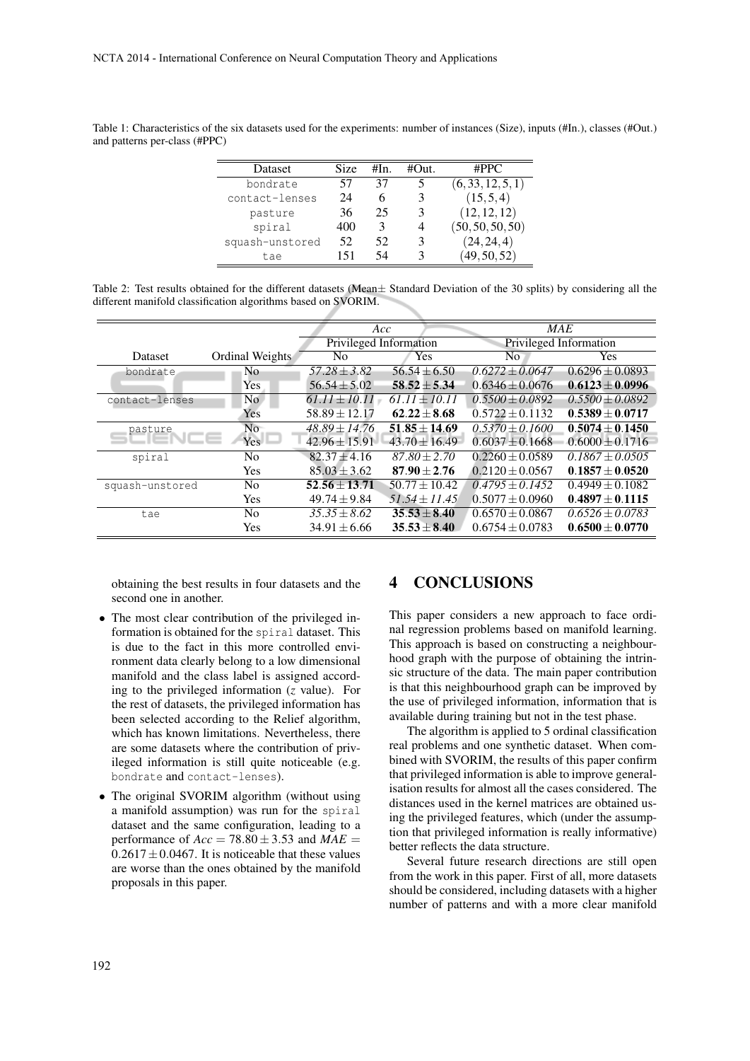| <b>Dataset</b>  | Size | #In. | #Out. | #PPC              |
|-----------------|------|------|-------|-------------------|
| bondrate        | 57   | 37   |       | (6, 33, 12, 5, 1) |
| contact-lenses  | 24   |      | 3     | (15, 5, 4)        |
| pasture         | 36   | 25   | 3     | (12, 12, 12)      |
| spiral          | 400  | 3    | 4     | (50, 50, 50, 50)  |
| squash-unstored | 52   | 52   | 3     | (24, 24, 4)       |
| tae             | 151  | 54   |       | (49, 50, 52)      |

Table 1: Characteristics of the six datasets used for the experiments: number of instances (Size), inputs (#In.), classes (#Out.) and patterns per-class (#PPC)

Table 2: Test results obtained for the different datasets (Mean± Standard Deviation of the 30 splits) by considering all the different manifold classification algorithms based on SVORIM.

|                 |                 | Acc                    |                  | <b>MAE</b>             |                     |
|-----------------|-----------------|------------------------|------------------|------------------------|---------------------|
|                 |                 | Privileged Information |                  | Privileged Information |                     |
| <b>Dataset</b>  | Ordinal Weights | N <sub>0</sub>         | Yes              | No.                    | <b>Yes</b>          |
| bondrate        | N <sub>0</sub>  | $57.28 \pm 3.82$       | $56.54 \pm 6.50$ | $0.6272 + 0.0647$      | $0.6296 \pm 0.0893$ |
|                 | Yes             | $56.54 \pm 5.02$       | $58.52 \pm 5.34$ | $0.6346 \pm 0.0676$    | $0.6123 \pm 0.0996$ |
| contact-lenses  | No.             | $61.11 \pm 10.11$      | $61.11 + 10.11$  | $0.5500 + 0.0892$      | $0.5500 \pm 0.0892$ |
|                 | Yes             | $58.89 \pm 12.17$      | $62.22 + 8.68$   | $0.5722 + 0.1132$      | $0.5389 \pm 0.0717$ |
| pasture         | N <sub>o</sub>  | $48.89 \pm 14.76$      | $51.85 + 14.69$  | $0.5370 + 0.1600$      | $0.5074 \pm 0.1450$ |
|                 | Yes -           | $42.96 \pm 15.91$      | $43.70 + 16.49$  | $0.6037 + 0.1668$      | $0.6000 + 0.1716$   |
| spiral          | No              | $82.37 + 4.16$         | $87.80 + 2.70$   | $0.2260 + 0.0589$      | $0.1867 + 0.0505$   |
|                 | <b>Yes</b>      | $85.03 + 3.62$         | $87.90 + 2.76$   | $0.2120 + 0.0567$      | $0.1857 + 0.0520$   |
| squash-unstored | N <sub>0</sub>  | $52.56 + 13.71$        | $50.77 + 10.42$  | $0.4795 + 0.1452$      | $0.4949 + 0.1082$   |
|                 | <b>Yes</b>      | $49.74 + 9.84$         | $51.54 + 11.45$  | $0.5077 + 0.0960$      | $0.4897 + 0.1115$   |
| tae             | N <sub>0</sub>  | $35.35 + 8.62$         | $35.53 + 8.40$   | $0.6570 + 0.0867$      | $0.6526 + 0.0783$   |
|                 | Yes             | $34.91 \pm 6.66$       | $35.53 + 8.40$   | $0.6754 \pm 0.0783$    | $0.6500 \pm 0.0770$ |
|                 |                 |                        |                  |                        |                     |

obtaining the best results in four datasets and the second one in another.

- The most clear contribution of the privileged information is obtained for the spiral dataset. This is due to the fact in this more controlled environment data clearly belong to a low dimensional manifold and the class label is assigned according to the privileged information (*z* value). For the rest of datasets, the privileged information has been selected according to the Relief algorithm, which has known limitations. Nevertheless, there are some datasets where the contribution of privileged information is still quite noticeable (e.g. bondrate and contact-lenses).
- The original SVORIM algorithm (without using a manifold assumption) was run for the spiral dataset and the same configuration, leading to a performance of  $Acc = 78.80 \pm 3.53$  and  $MAE =$  $0.2617 \pm 0.0467$ . It is noticeable that these values are worse than the ones obtained by the manifold proposals in this paper.

#### 4 CONCLUSIONS

This paper considers a new approach to face ordinal regression problems based on manifold learning. This approach is based on constructing a neighbourhood graph with the purpose of obtaining the intrinsic structure of the data. The main paper contribution is that this neighbourhood graph can be improved by the use of privileged information, information that is available during training but not in the test phase.

The algorithm is applied to 5 ordinal classification real problems and one synthetic dataset. When combined with SVORIM, the results of this paper confirm that privileged information is able to improve generalisation results for almost all the cases considered. The distances used in the kernel matrices are obtained using the privileged features, which (under the assumption that privileged information is really informative) better reflects the data structure.

Several future research directions are still open from the work in this paper. First of all, more datasets should be considered, including datasets with a higher number of patterns and with a more clear manifold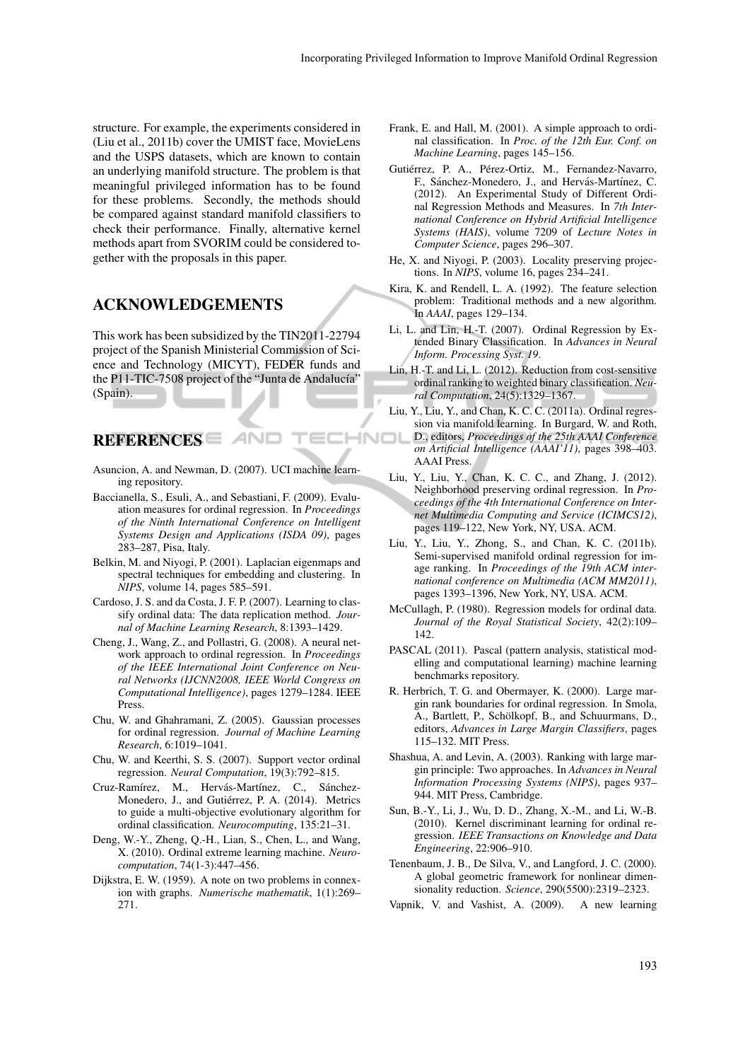structure. For example, the experiments considered in (Liu et al., 2011b) cover the UMIST face, MovieLens and the USPS datasets, which are known to contain an underlying manifold structure. The problem is that meaningful privileged information has to be found for these problems. Secondly, the methods should be compared against standard manifold classifiers to check their performance. Finally, alternative kernel methods apart from SVORIM could be considered together with the proposals in this paper.

#### ACKNOWLEDGEMENTS

This work has been subsidized by the TIN2011-22794 project of the Spanish Ministerial Commission of Science and Technology (MICYT), FEDER funds and the P11-TIC-7508 project of the "Junta de Andalucía" (Spain).

REFERENCES

Asuncion, A. and Newman, D. (2007). UCI machine learning repository.

**AND** 

- Baccianella, S., Esuli, A., and Sebastiani, F. (2009). Evaluation measures for ordinal regression. In *Proceedings of the Ninth International Conference on Intelligent Systems Design and Applications (ISDA 09)*, pages 283–287, Pisa, Italy.
- Belkin, M. and Niyogi, P. (2001). Laplacian eigenmaps and spectral techniques for embedding and clustering. In *NIPS*, volume 14, pages 585–591.
- Cardoso, J. S. and da Costa, J. F. P. (2007). Learning to classify ordinal data: The data replication method. *Journal of Machine Learning Research*, 8:1393–1429.
- Cheng, J., Wang, Z., and Pollastri, G. (2008). A neural network approach to ordinal regression. In *Proceedings of the IEEE International Joint Conference on Neural Networks (IJCNN2008, IEEE World Congress on Computational Intelligence)*, pages 1279–1284. IEEE Press.
- Chu, W. and Ghahramani, Z. (2005). Gaussian processes for ordinal regression. *Journal of Machine Learning Research*, 6:1019–1041.
- Chu, W. and Keerthi, S. S. (2007). Support vector ordinal regression. *Neural Computation*, 19(3):792–815.
- Cruz-Ramírez, M., Hervás-Martínez, C., Sánchez-Monedero, J., and Gutiérrez, P. A. (2014). Metrics to guide a multi-objective evolutionary algorithm for ordinal classification. *Neurocomputing*, 135:21–31.
- Deng, W.-Y., Zheng, Q.-H., Lian, S., Chen, L., and Wang, X. (2010). Ordinal extreme learning machine. *Neurocomputation*, 74(1-3):447–456.
- Dijkstra, E. W. (1959). A note on two problems in connexion with graphs. *Numerische mathematik*, 1(1):269– 271.
- Frank, E. and Hall, M. (2001). A simple approach to ordinal classification. In *Proc. of the 12th Eur. Conf. on Machine Learning*, pages 145–156.
- Gutiérrez, P. A., Pérez-Ortiz, M., Fernandez-Navarro, F., Sánchez-Monedero, J., and Hervás-Martínez, C. (2012). An Experimental Study of Different Ordinal Regression Methods and Measures. In *7th International Conference on Hybrid Artificial Intelligence Systems (HAIS)*, volume 7209 of *Lecture Notes in Computer Science*, pages 296–307.
- He, X. and Niyogi, P. (2003). Locality preserving projections. In *NIPS*, volume 16, pages 234–241.
- Kira, K. and Rendell, L. A. (1992). The feature selection problem: Traditional methods and a new algorithm. In *AAAI*, pages 129–134.
- Li, L. and Lin, H.-T. (2007). Ordinal Regression by Extended Binary Classification. In *Advances in Neural Inform. Processing Syst. 19*.
- Lin, H.-T. and Li, L. (2012). Reduction from cost-sensitive ordinal ranking to weighted binary classification. *Neural Computation*, 24(5):1329–1367.
- Liu, Y., Liu, Y., and Chan, K. C. C. (2011a). Ordinal regression via manifold learning. In Burgard, W. and Roth, IHNO D., editors, *Proceedings of the 25th AAAI Conference on Artificial Intelligence (AAAI'11)*, pages 398–403. AAAI Press.
	- Liu, Y., Liu, Y., Chan, K. C. C., and Zhang, J. (2012). Neighborhood preserving ordinal regression. In *Proceedings of the 4th International Conference on Internet Multimedia Computing and Service (ICIMCS12)*, pages 119–122, New York, NY, USA. ACM.
	- Liu, Y., Liu, Y., Zhong, S., and Chan, K. C. (2011b). Semi-supervised manifold ordinal regression for image ranking. In *Proceedings of the 19th ACM international conference on Multimedia (ACM MM2011)*, pages 1393–1396, New York, NY, USA. ACM.
	- McCullagh, P. (1980). Regression models for ordinal data. *Journal of the Royal Statistical Society*, 42(2):109– 142.
	- PASCAL (2011). Pascal (pattern analysis, statistical modelling and computational learning) machine learning benchmarks repository.
	- R. Herbrich, T. G. and Obermayer, K. (2000). Large margin rank boundaries for ordinal regression. In Smola, A., Bartlett, P., Schölkopf, B., and Schuurmans, D., editors, *Advances in Large Margin Classifiers*, pages 115–132. MIT Press.
	- Shashua, A. and Levin, A. (2003). Ranking with large margin principle: Two approaches. In *Advances in Neural Information Processing Systems (NIPS)*, pages 937– 944. MIT Press, Cambridge.
	- Sun, B.-Y., Li, J., Wu, D. D., Zhang, X.-M., and Li, W.-B. (2010). Kernel discriminant learning for ordinal regression. *IEEE Transactions on Knowledge and Data Engineering*, 22:906–910.
	- Tenenbaum, J. B., De Silva, V., and Langford, J. C. (2000). A global geometric framework for nonlinear dimensionality reduction. *Science*, 290(5500):2319–2323.
	- Vapnik, V. and Vashist, A. (2009). A new learning